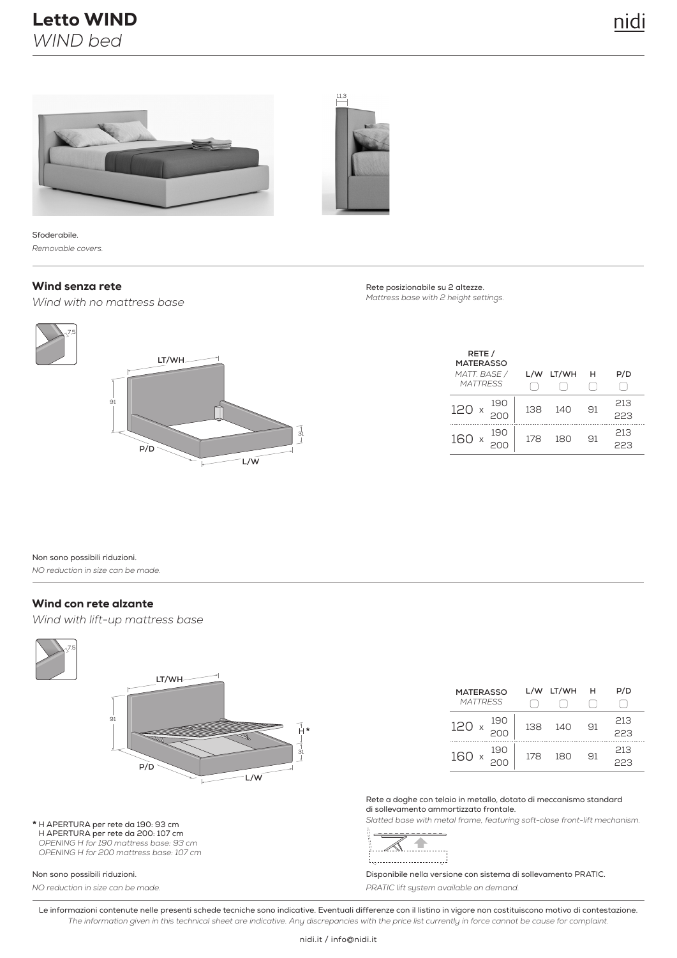



Sfoderabile. *Removable covers.*

#### Wind senza rete

*Wind with no mattress base*



| Rete posizionabile su 2 altezze.      |
|---------------------------------------|
| Mattress base with 2 height settings. |

| RETE /<br><b>MATERASSO</b><br>MATT. BASE /<br><b>MATTRESS</b> | L/W | LT/WH | н  | P/D        |
|---------------------------------------------------------------|-----|-------|----|------------|
| 190<br>120                                                    | 138 | 140   | 91 | 213<br>223 |
| 190<br>160                                                    | 178 | 180   | 91 | 213<br>ココス |

Non sono possibili riduzioni.

*NO reduction in size can be made.*

#### Wind con rete alzante

*Wind with lift-up mattress base*



**\*** H APERTURA per rete da 190: 93 cm H APERTURA per rete da 200: 107 cm *OPENING H for 190 mattress base: 93 cm OPENING H for 200 mattress base: 107 cm*

#### Non sono possibili riduzioni.

*NO reduction in size can be made.*

| <b>MATERASSO</b><br><b>MATTRESS</b> |     | L/W LT/WH | н  | P/D        |
|-------------------------------------|-----|-----------|----|------------|
| 190<br>120 $\times 200$             | 138 | 140       | 91 | 213<br>223 |
| 190<br>160 x                        | 178 | 180       | 91 | 213<br>223 |

Rete a doghe con telaio in metallo, dotato di meccanismo standard di sollevamento ammortizzato frontale.

*Slatted base with metal frame, featuring soft-close front-lift mechanism.*

∥ . . . . . . . 

Disponibile nella versione con sistema di sollevamento PRATIC. *PRATIC lift system available on demand.*

Le informazioni contenute nelle presenti schede tecniche sono indicative. Eventuali differenze con il listino in vigore non costituiscono motivo di contestazione. *The information given in this technical sheet are indicative. Any discrepancies with the price list currently in force cannot be cause for complaint.*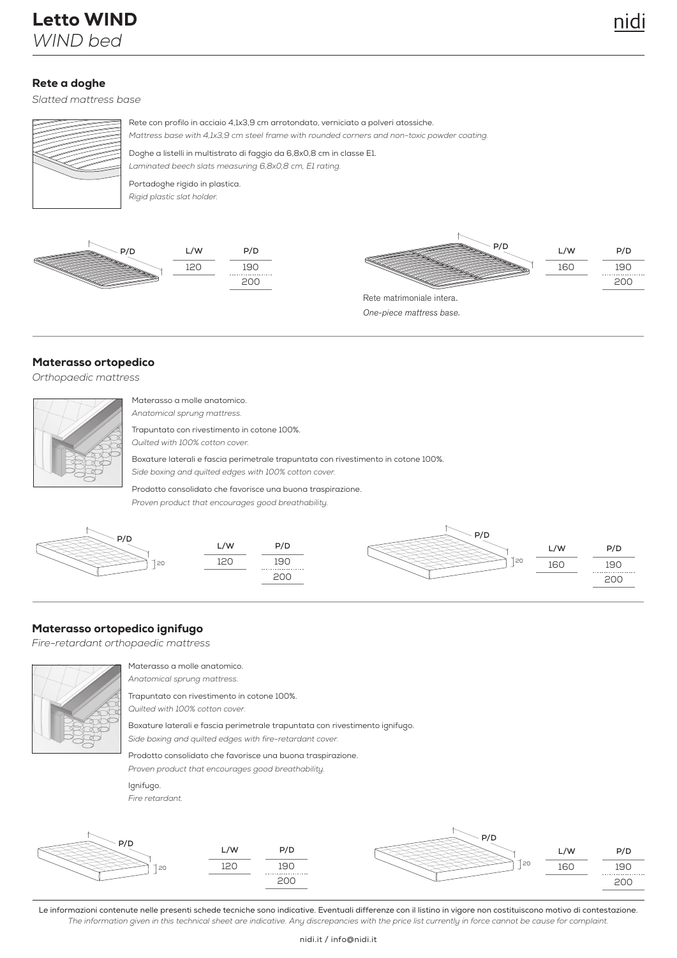# Rete a doghe

*Slatted mattress base*

Letto WIND

*WIND bed*



Rete con profilo in acciaio 4,1x3,9 cm arrotondato, verniciato a polveri atossiche. *Mattress base with 4,1x3,9 cm steel frame with rounded corners and non-toxic powder coating.* 

Doghe a listelli in multistrato di faggio da 6,8x0,8 cm in classe E1. *Laminated beech slats measuring 6,8x0,8 cm, E1 rating.*

Portadoghe rigido in plastica. *Rigid plastic slat holder.*







One-piece mattress base.

#### Materasso ortopedico

*Orthopaedic mattress*

| Mα  |
|-----|
| And |
| Tra |
| Qui |
| Box |
| Sid |
|     |

iterasso a molle anatomico. *Anatomical sprung mattress.*

Ipuntato con rivestimento in cotone 100%.

*Quilted with 100% cotton cover.*

Boxature laterali e fascia perimetrale trapuntata con rivestimento in cotone 100%. *Side boxing and quilted edges with 100% cotton cover.*

Prodotto consolidato che favorisce una buona traspirazione. *Proven product that encourages good breathability.*



#### Materasso ortopedico ignifugo

*Fire-retardant orthopaedic mattress*



Materasso a molle anatomico. *Anatomical sprung mattress.*

Trapuntato con rivestimento in cotone 100%. *Quilted with 100% cotton cover.*

Boxature laterali e fascia perimetrale trapuntata con rivestimento ignifugo. *Side boxing and quilted edges with fire-retardant cover.*

Prodotto consolidato che favorisce una buona traspirazione.

*Proven product that encourages good breathability.*

Ignifugo.





Le informazioni contenute nelle presenti schede tecniche sono indicative. Eventuali differenze con il listino in vigore non costituiscono motivo di contestazione. *The information given in this technical sheet are indicative. Any discrepancies with the price list currently in force cannot be cause for complaint.*